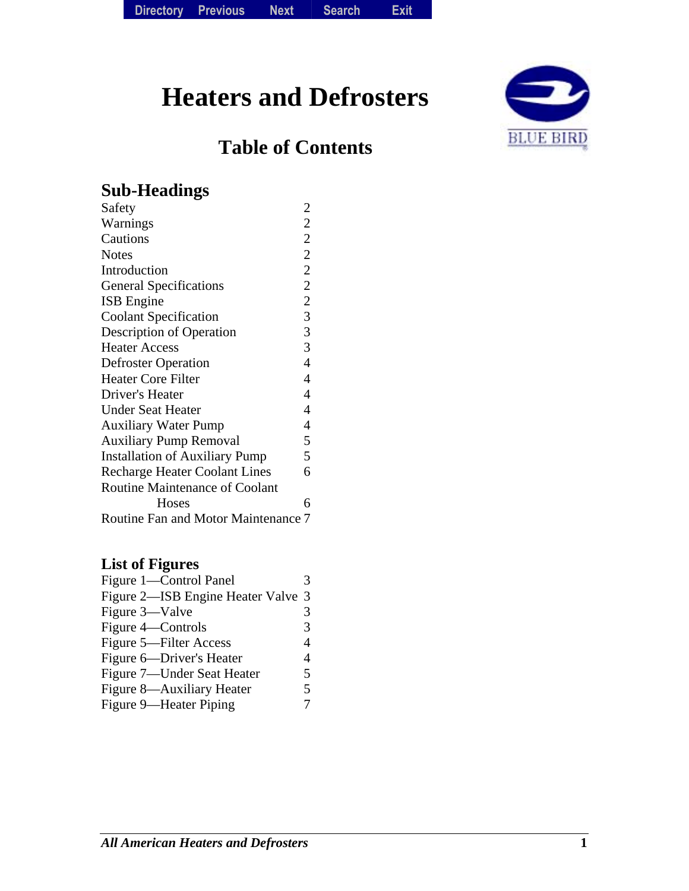

# **Heaters and Defrosters**

### **Table of Contents**

#### **Sub-Headings**

| Safety                                     | $\overline{2}$                                       |
|--------------------------------------------|------------------------------------------------------|
| Warnings                                   | $\overline{c}$                                       |
| Cautions                                   |                                                      |
| Notes                                      | $\frac{2}{2}$                                        |
| Introduction                               | $\begin{array}{c} 2 \\ 2 \\ 3 \\ 3 \\ 3 \end{array}$ |
| <b>General Specifications</b>              |                                                      |
| <b>ISB</b> Engine                          |                                                      |
| <b>Coolant Specification</b>               |                                                      |
| <b>Description of Operation</b>            |                                                      |
| <b>Heater Access</b>                       |                                                      |
| <b>Defroster Operation</b>                 | $\overline{4}$                                       |
| Heater Core Filter                         | $\overline{4}$                                       |
| Driver's Heater                            | $\overline{4}$                                       |
| <b>Under Seat Heater</b>                   | $\overline{4}$                                       |
| <b>Auxiliary Water Pump</b>                | $\overline{4}$                                       |
| <b>Auxiliary Pump Removal</b>              | $\frac{5}{5}$                                        |
| <b>Installation of Auxiliary Pump</b>      |                                                      |
| <b>Recharge Heater Coolant Lines</b>       | 6                                                    |
| <b>Routine Maintenance of Coolant</b>      |                                                      |
| Hoses                                      | 6                                                    |
| <b>Routine Fan and Motor Maintenance 7</b> |                                                      |

#### **List of Figures**

| Figure 1—Control Panel             |   |
|------------------------------------|---|
| Figure 2—ISB Engine Heater Valve 3 |   |
| Figure 3-Valve                     | 3 |
| Figure 4-Controls                  | 3 |
| Figure 5-Filter Access             | 4 |
| Figure 6—Driver's Heater           | 4 |
| Figure 7—Under Seat Heater         | 5 |
| Figure 8—Auxiliary Heater          | 5 |
| Figure 9—Heater Piping             |   |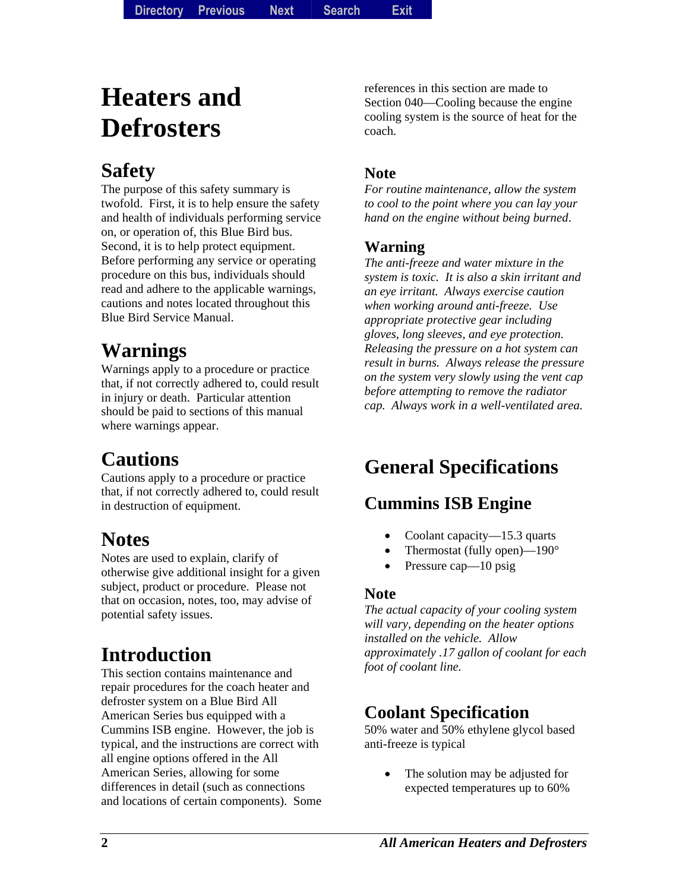# **Heaters and Defrosters**

## **Safety**

The purpose of this safety summary is twofold. First, it is to help ensure the safety and health of individuals performing service on, or operation of, this Blue Bird bus. Second, it is to help protect equipment. Before performing any service or operating procedure on this bus, individuals should read and adhere to the applicable warnings, cautions and notes located throughout this Blue Bird Service Manual.

## **Warnings**

Warnings apply to a procedure or practice that, if not correctly adhered to, could result in injury or death. Particular attention should be paid to sections of this manual where warnings appear.

## **Cautions**

Cautions apply to a procedure or practice that, if not correctly adhered to, could result in destruction of equipment.

### **Notes**

Notes are used to explain, clarify of otherwise give additional insight for a given subject, product or procedure. Please not that on occasion, notes, too, may advise of potential safety issues.

## **Introduction**

This section contains maintenance and repair procedures for the coach heater and defroster system on a Blue Bird All American Series bus equipped with a Cummins ISB engine. However, the job is typical, and the instructions are correct with all engine options offered in the All American Series, allowing for some differences in detail (such as connections and locations of certain components). Some references in this section are made to Section 040—Cooling because the engine cooling system is the source of heat for the coach.

#### **Note**

*For routine maintenance, allow the system to cool to the point where you can lay your hand on the engine without being burned*.

#### **Warning**

*The anti-freeze and water mixture in the system is toxic. It is also a skin irritant and an eye irritant. Always exercise caution when working around anti-freeze. Use appropriate protective gear including gloves, long sleeves, and eye protection. Releasing the pressure on a hot system can result in burns. Always release the pressure on the system very slowly using the vent cap before attempting to remove the radiator cap. Always work in a well-ventilated area.* 

## **General Specifications**

#### **Cummins ISB Engine**

- Coolant capacity—15.3 quarts
- Thermostat (fully open)—190°
- Pressure cap—10 psig

#### **Note**

*The actual capacity of your cooling system will vary, depending on the heater options installed on the vehicle. Allow approximately .17 gallon of coolant for each foot of coolant line.* 

#### **Coolant Specification**

50% water and 50% ethylene glycol based anti-freeze is typical

• The solution may be adjusted for expected temperatures up to 60%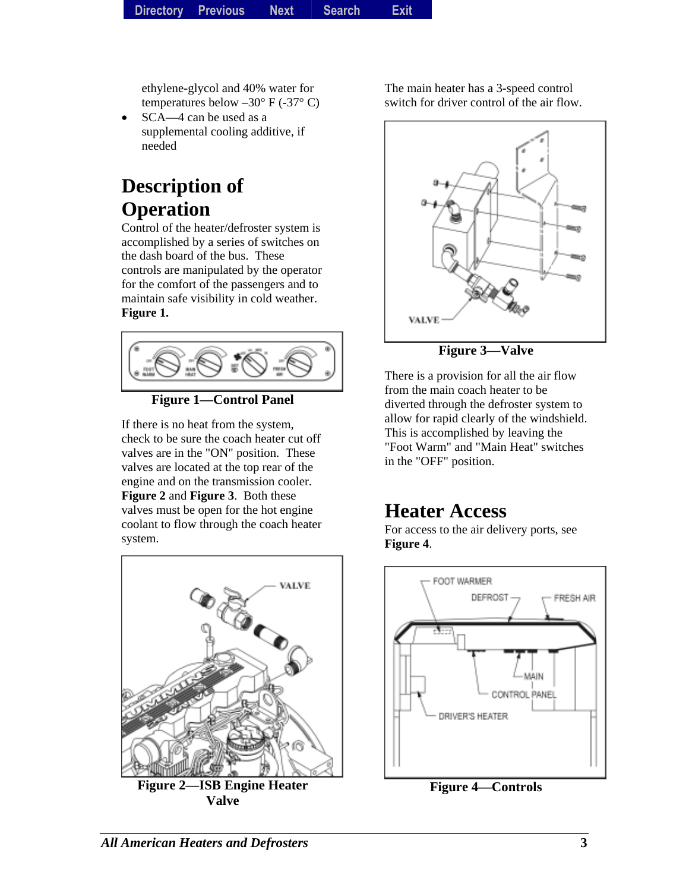ethylene-glycol and 40% water for temperatures below  $-30^{\circ}$  F ( $-37^{\circ}$  C)

• SCA—4 can be used as a supplemental cooling additive, if needed

### **Description of Operation**

Control of the heater/defroster system is accomplished by a series of switches on the dash board of the bus. These controls are manipulated by the operator for the comfort of the passengers and to maintain safe visibility in cold weather. **Figure 1.**



**Figure 1—Control Panel** 

If there is no heat from the system, check to be sure the coach heater cut off valves are in the "ON" position. These valves are located at the top rear of the engine and on the transmission cooler. **Figure 2** and **Figure 3**. Both these valves must be open for the hot engine coolant to flow through the coach heater system.



The main heater has a 3-speed control switch for driver control of the air flow.



**Figure 3—Valve** 

There is a provision for all the air flow from the main coach heater to be diverted through the defroster system to allow for rapid clearly of the windshield. This is accomplished by leaving the "Foot Warm" and "Main Heat" switches in the "OFF" position.

## **Heater Access**

For access to the air delivery ports, see **Figure 4**.



**Figure 4—Controls**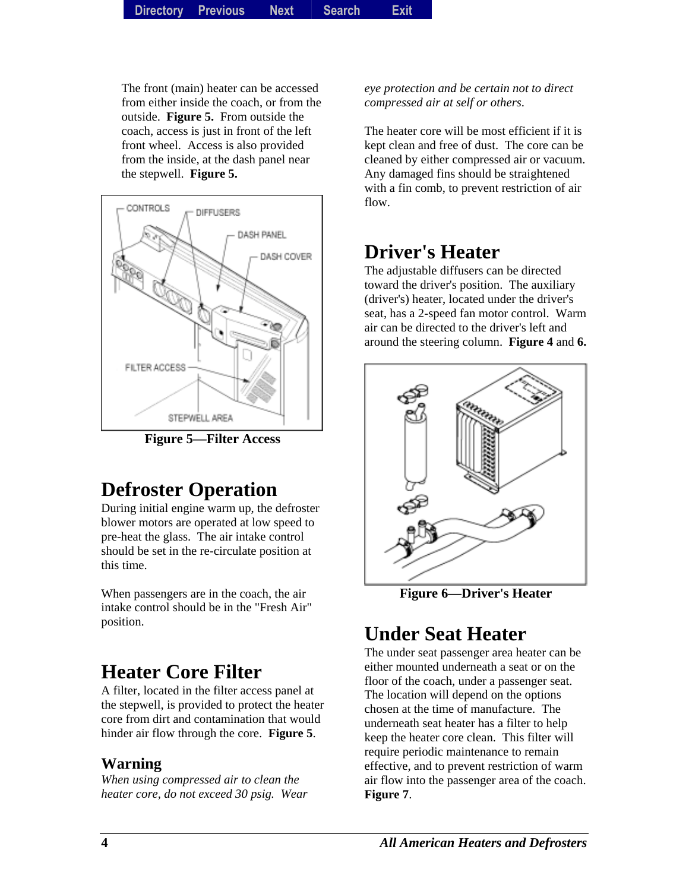The front (main) heater can be accessed from either inside the coach, or from the outside. **Figure 5.** From outside the coach, access is just in front of the left front wheel. Access is also provided from the inside, at the dash panel near the stepwell. **Figure 5.**



**Figure 5—Filter Access** 

## **Defroster Operation**

During initial engine warm up, the defroster blower motors are operated at low speed to pre-heat the glass. The air intake control should be set in the re-circulate position at this time.

When passengers are in the coach, the air intake control should be in the "Fresh Air" position.

## **Heater Core Filter**

A filter, located in the filter access panel at the stepwell, is provided to protect the heater core from dirt and contamination that would hinder air flow through the core. **Figure 5**.

#### **Warning**

*When using compressed air to clean the heater core, do not exceed 30 psig. Wear*  *eye protection and be certain not to direct compressed air at self or others*.

The heater core will be most efficient if it is kept clean and free of dust. The core can be cleaned by either compressed air or vacuum. Any damaged fins should be straightened with a fin comb, to prevent restriction of air flow.

### **Driver's Heater**

The adjustable diffusers can be directed toward the driver's position. The auxiliary (driver's) heater, located under the driver's seat, has a 2-speed fan motor control. Warm air can be directed to the driver's left and around the steering column. **Figure 4** and **6.**



**Figure 6—Driver's Heater** 

### **Under Seat Heater**

The under seat passenger area heater can be either mounted underneath a seat or on the floor of the coach, under a passenger seat. The location will depend on the options chosen at the time of manufacture. The underneath seat heater has a filter to help keep the heater core clean. This filter will require periodic maintenance to remain effective, and to prevent restriction of warm air flow into the passenger area of the coach. **Figure 7**.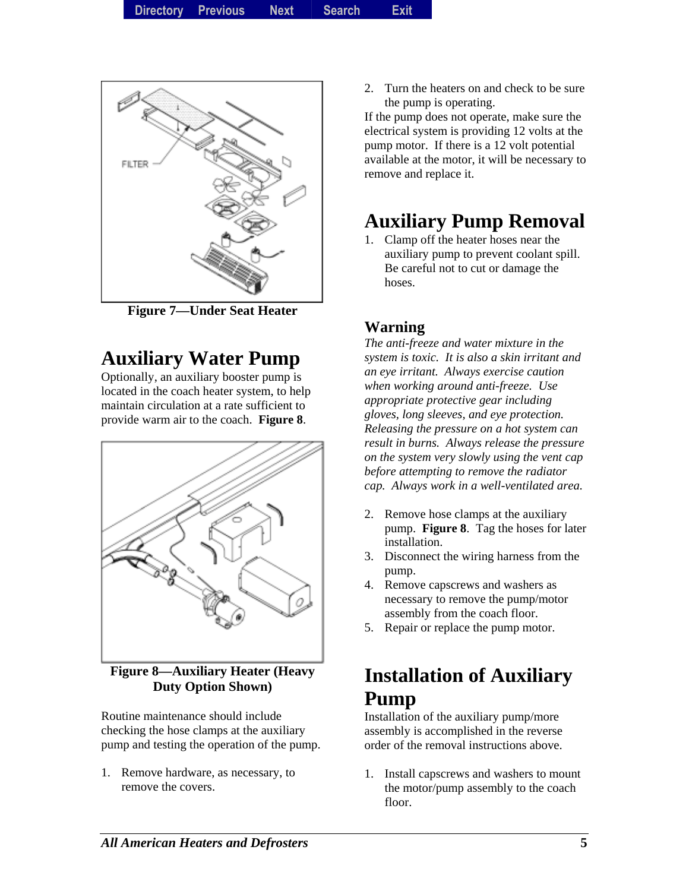

**Figure 7—Under Seat Heater** 

### **Auxiliary Water Pump**

Optionally, an auxiliary booster pump is located in the coach heater system, to help maintain circulation at a rate sufficient to provide warm air to the coach. **Figure 8**.



**Figure 8—Auxiliary Heater (Heavy Duty Option Shown)** 

Routine maintenance should include checking the hose clamps at the auxiliary pump and testing the operation of the pump.

1. Remove hardware, as necessary, to remove the covers.

2. Turn the heaters on and check to be sure the pump is operating.

If the pump does not operate, make sure the electrical system is providing 12 volts at the pump motor. If there is a 12 volt potential available at the motor, it will be necessary to remove and replace it.

### **Auxiliary Pump Removal**

1. Clamp off the heater hoses near the auxiliary pump to prevent coolant spill. Be careful not to cut or damage the hoses.

#### **Warning**

*The anti-freeze and water mixture in the system is toxic. It is also a skin irritant and an eye irritant. Always exercise caution when working around anti-freeze. Use appropriate protective gear including gloves, long sleeves, and eye protection. Releasing the pressure on a hot system can result in burns. Always release the pressure on the system very slowly using the vent cap before attempting to remove the radiator cap. Always work in a well-ventilated area.* 

- 2. Remove hose clamps at the auxiliary pump. **Figure 8**. Tag the hoses for later installation.
- 3. Disconnect the wiring harness from the pump.
- 4. Remove capscrews and washers as necessary to remove the pump/motor assembly from the coach floor.
- 5. Repair or replace the pump motor.

### **Installation of Auxiliary Pump**

Installation of the auxiliary pump/more assembly is accomplished in the reverse order of the removal instructions above.

1. Install capscrews and washers to mount the motor/pump assembly to the coach floor.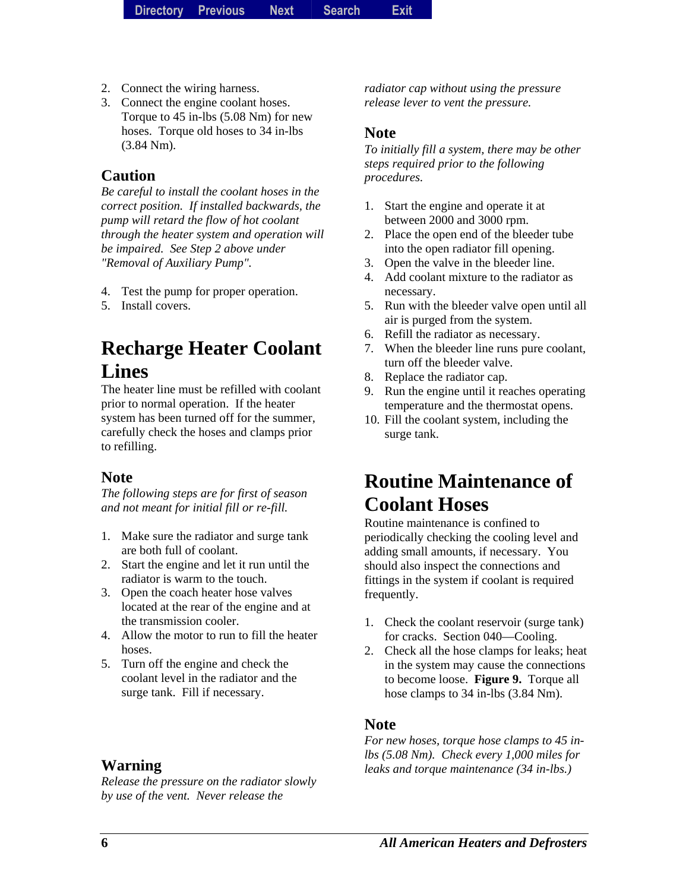- 2. Connect the wiring harness.
- 3. Connect the engine coolant hoses. Torque to 45 in-lbs (5.08 Nm) for new hoses. Torque old hoses to 34 in-lbs (3.84 Nm).

#### **Caution**

*Be careful to install the coolant hoses in the correct position. If installed backwards, the pump will retard the flow of hot coolant through the heater system and operation will be impaired. See Step 2 above under "Removal of Auxiliary Pump".* 

- 4. Test the pump for proper operation.
- 5. Install covers.

### **Recharge Heater Coolant Lines**

The heater line must be refilled with coolant prior to normal operation. If the heater system has been turned off for the summer, carefully check the hoses and clamps prior to refilling.

#### **Note**

*The following steps are for first of season and not meant for initial fill or re-fill.* 

- 1. Make sure the radiator and surge tank are both full of coolant.
- 2. Start the engine and let it run until the radiator is warm to the touch.
- 3. Open the coach heater hose valves located at the rear of the engine and at the transmission cooler.
- 4. Allow the motor to run to fill the heater hoses.
- 5. Turn off the engine and check the coolant level in the radiator and the surge tank. Fill if necessary.

#### **Warning**

*Release the pressure on the radiator slowly by use of the vent. Never release the* 

*radiator cap without using the pressure release lever to vent the pressure.* 

#### **Note**

*To initially fill a system, there may be other steps required prior to the following procedures.* 

- 1. Start the engine and operate it at between 2000 and 3000 rpm.
- 2. Place the open end of the bleeder tube into the open radiator fill opening.
- 3. Open the valve in the bleeder line.
- 4. Add coolant mixture to the radiator as necessary.
- 5. Run with the bleeder valve open until all air is purged from the system.
- 6. Refill the radiator as necessary.
- 7. When the bleeder line runs pure coolant, turn off the bleeder valve.
- 8. Replace the radiator cap.
- 9. Run the engine until it reaches operating temperature and the thermostat opens.
- 10. Fill the coolant system, including the surge tank.

#### **Routine Maintenance of Coolant Hoses**

Routine maintenance is confined to periodically checking the cooling level and adding small amounts, if necessary. You should also inspect the connections and fittings in the system if coolant is required frequently.

- 1. Check the coolant reservoir (surge tank) for cracks. Section 040—Cooling.
- 2. Check all the hose clamps for leaks; heat in the system may cause the connections to become loose. **Figure 9.** Torque all hose clamps to 34 in-lbs (3.84 Nm).

#### **Note**

*For new hoses, torque hose clamps to 45 inlbs (5.08 Nm). Check every 1,000 miles for leaks and torque maintenance (34 in-lbs.)*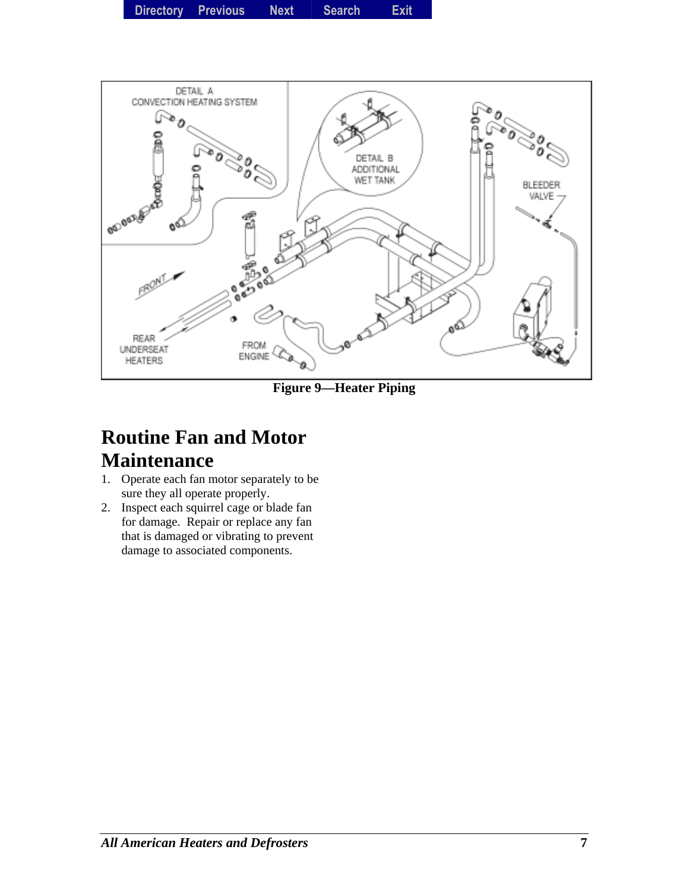

**Figure 9—Heater Piping** 

### **Routine Fan and Motor Maintenance**

- 1. Operate each fan motor separately to be sure they all operate properly.
- 2. Inspect each squirrel cage or blade fan for damage. Repair or replace any fan that is damaged or vibrating to prevent damage to associated components.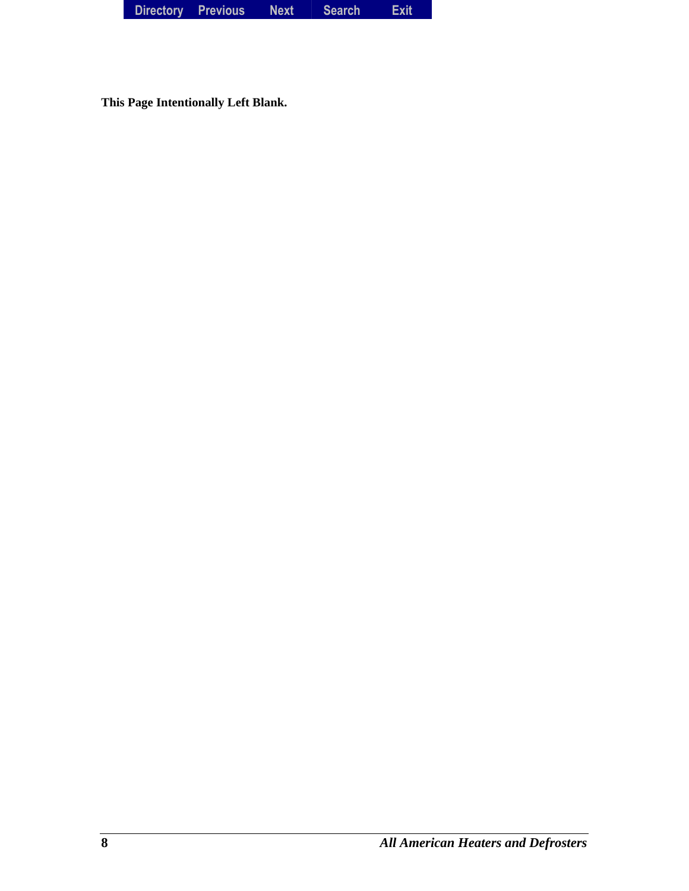| <b>Directory</b> | <b>Previous</b> | <b>Next</b> | <b>Search</b> | <b>Exit</b> |
|------------------|-----------------|-------------|---------------|-------------|
|------------------|-----------------|-------------|---------------|-------------|

**This Page Intentionally Left Blank.**